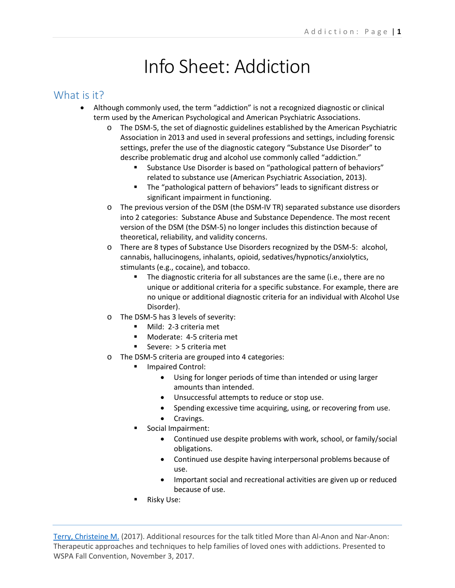# Info Sheet: Addiction

#### What is it?

- Although commonly used, the term "addiction" is not a recognized diagnostic or clinical term used by the American Psychological and American Psychiatric Associations.
	- o The DSM-5, the set of diagnostic guidelines established by the American Psychiatric Association in 2013 and used in several professions and settings, including forensic settings, prefer the use of the diagnostic category "Substance Use Disorder" to describe problematic drug and alcohol use commonly called "addiction."
		- Substance Use Disorder is based on "pathological pattern of behaviors" related to substance use (American Psychiatric Association, 2013).
		- The "pathological pattern of behaviors" leads to significant distress or significant impairment in functioning.
	- o The previous version of the DSM (the DSM-IV TR) separated substance use disorders into 2 categories: Substance Abuse and Substance Dependence. The most recent version of the DSM (the DSM-5) no longer includes this distinction because of theoretical, reliability, and validity concerns.
	- o There are 8 types of Substance Use Disorders recognized by the DSM-5: alcohol, cannabis, hallucinogens, inhalants, opioid, sedatives/hypnotics/anxiolytics, stimulants (e.g., cocaine), and tobacco.
		- The diagnostic criteria for all substances are the same (i.e., there are no unique or additional criteria for a specific substance. For example, there are no unique or additional diagnostic criteria for an individual with Alcohol Use Disorder).
	- o The DSM-5 has 3 levels of severity:
		- **Mild: 2-3 criteria met**
		- **Moderate: 4-5 criteria met**
		- Severe: > 5 criteria met
	- o The DSM-5 criteria are grouped into 4 categories:
		- Impaired Control:
			- Using for longer periods of time than intended or using larger amounts than intended.
			- Unsuccessful attempts to reduce or stop use.
			- Spending excessive time acquiring, using, or recovering from use.
			- Cravings.
		- Social Impairment:
			- Continued use despite problems with work, school, or family/social obligations.
			- Continued use despite having interpersonal problems because of use.
			- Important social and recreational activities are given up or reduced because of use.
		- Risky Use: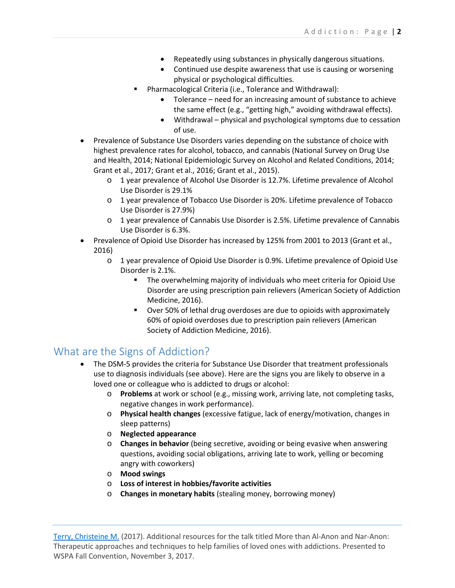- Repeatedly using substances in physically dangerous situations.
- Continued use despite awareness that use is causing or worsening physical or psychological difficulties.
- Pharmacological Criteria (i.e., Tolerance and Withdrawal):
	- Tolerance need for an increasing amount of substance to achieve the same effect (e.g., "getting high," avoiding withdrawal effects).
	- Withdrawal physical and psychological symptoms due to cessation of use.
- Prevalence of Substance Use Disorders varies depending on the substance of choice with highest prevalence rates for alcohol, tobacco, and cannabis (National Survey on Drug Use and Health, 2014; National Epidemiologic Survey on Alcohol and Related Conditions, 2014; Grant et al., 2017; Grant et al., 2016; Grant et al., 2015).
	- o 1 year prevalence of Alcohol Use Disorder is 12.7%. Lifetime prevalence of Alcohol Use Disorder is 29.1%
	- o 1 year prevalence of Tobacco Use Disorder is 20%. Lifetime prevalence of Tobacco Use Disorder is 27.9%)
	- o 1 year prevalence of Cannabis Use Disorder is 2.5%. Lifetime prevalence of Cannabis Use Disorder is 6.3%.
- Prevalence of Opioid Use Disorder has increased by 125% from 2001 to 2013 (Grant et al., 2016)
	- o 1 year prevalence of Opioid Use Disorder is 0.9%. Lifetime prevalence of Opioid Use Disorder is 2.1%.
		- The overwhelming majority of individuals who meet criteria for Opioid Use Disorder are using prescription pain relievers (American Society of Addiction Medicine, 2016).
		- Over 50% of lethal drug overdoses are due to opioids with approximately 60% of opioid overdoses due to prescription pain relievers (American Society of Addiction Medicine, 2016).

# What are the Signs of Addiction?

- The DSM-5 provides the criteria for Substance Use Disorder that treatment professionals use to diagnosis individuals (see above). Here are the signs you are likely to observe in a loved one or colleague who is addicted to drugs or alcohol:
	- o **Problems** at work or school (e.g., missing work, arriving late, not completing tasks, negative changes in work performance).
	- o **Physical health changes** (excessive fatigue, lack of energy/motivation, changes in sleep patterns)
	- o **Neglected appearance**
	- o **Changes in behavior** (being secretive, avoiding or being evasive when answering questions, avoiding social obligations, arriving late to work, yelling or becoming angry with coworkers)
	- o **Mood swings**
	- o **Loss of interest in hobbies/favorite activities**
	- o **Changes in monetary habits** (stealing money, borrowing money)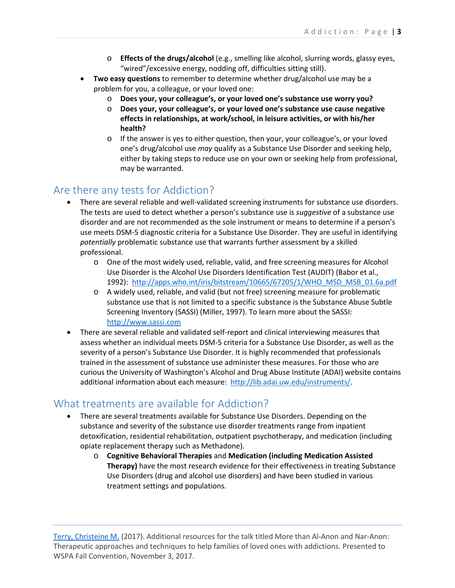- o **Effects of the drugs/alcohol** (e.g., smelling like alcohol, slurring words, glassy eyes, "wired"/excessive energy, nodding off, difficulties sitting still).
- **Two easy questions** to remember to determine whether drug/alcohol use may be a problem for you, a colleague, or your loved one:
	- o **Does your, your colleague's, or your loved one's substance use worry you?**
	- o **Does your, your colleague's, or your loved one's substance use cause negative effects in relationships, at work/school, in leisure activities, or with his/her health?**
	- $\circ$  If the answer is yes to either question, then your, your colleague's, or your loved one's drug/alcohol use *may* qualify as a Substance Use Disorder and seeking help, either by taking steps to reduce use on your own or seeking help from professional, may be warranted.

### Are there any tests for Addiction?

- There are several reliable and well-validated screening instruments for substance use disorders. The tests are used to detect whether a person's substance use is *suggestive* of a substance use disorder and are not recommended as the sole instrument or means to determine if a person's use meets DSM-5 diagnostic criteria for a Substance Use Disorder. They are useful in identifying *potentially* problematic substance use that warrants further assessment by a skilled professional.
	- o One of the most widely used, reliable, valid, and free screening measures for Alcohol Use Disorder is the Alcohol Use Disorders Identification Test (AUDIT) (Babor et al., 1992): [http://apps.who.int/iris/bitstream/10665/67205/1/WHO\\_MSD\\_MSB\\_01.6a.pdf](http://apps.who.int/iris/bitstream/10665/67205/1/WHO_MSD_MSB_01.6a.pdf)
	- o A widely used, reliable, and valid (but not free) screening measure for problematic substance use that is not limited to a specific substance is the Substance Abuse Subtle Screening Inventory (SASSI) (Miller, 1997). To learn more about the SASSI: [http://www.sassi.com](http://www.sassi.com/)
- There are several reliable and validated self-report and clinical interviewing measures that assess whether an individual meets DSM-5 criteria for a Substance Use Disorder, as well as the severity of a person's Substance Use Disorder. It is highly recommended that professionals trained in the assessment of substance use administer these measures. For those who are curious the University of Washington's Alcohol and Drug Abuse Institute (ADAI) website contains additional information about each measure: [http://lib.adai.uw.edu/instruments/.](http://lib.adai.uw.edu/instruments/)

## What treatments are available for Addiction?

- There are several treatments available for Substance Use Disorders. Depending on the substance and severity of the substance use disorder treatments range from inpatient detoxification, residential rehabilitation, outpatient psychotherapy, and medication (including opiate replacement therapy such as Methadone).
	- o **Cognitive Behavioral Therapies** and **Medication (including Medication Assisted Therapy)** have the most research evidence for their effectiveness in treating Substance Use Disorders (drug and alcohol use disorders) and have been studied in various treatment settings and populations.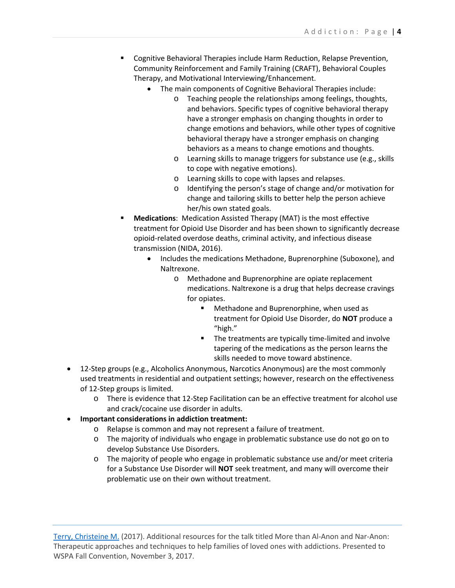- Cognitive Behavioral Therapies include Harm Reduction, Relapse Prevention, Community Reinforcement and Family Training (CRAFT), Behavioral Couples Therapy, and Motivational Interviewing/Enhancement.
	- The main components of Cognitive Behavioral Therapies include:
		- o Teaching people the relationships among feelings, thoughts, and behaviors. Specific types of cognitive behavioral therapy have a stronger emphasis on changing thoughts in order to change emotions and behaviors, while other types of cognitive behavioral therapy have a stronger emphasis on changing behaviors as a means to change emotions and thoughts.
		- o Learning skills to manage triggers for substance use (e.g., skills to cope with negative emotions).
		- o Learning skills to cope with lapses and relapses.
		- o Identifying the person's stage of change and/or motivation for change and tailoring skills to better help the person achieve her/his own stated goals.
- **Medications**: Medication Assisted Therapy (MAT) is the most effective treatment for Opioid Use Disorder and has been shown to significantly decrease opioid-related overdose deaths, criminal activity, and infectious disease transmission (NIDA, 2016).
	- Includes the medications Methadone, Buprenorphine (Suboxone), and Naltrexone.
		- o Methadone and Buprenorphine are opiate replacement medications. Naltrexone is a drug that helps decrease cravings for opiates.
			- **Methadone and Buprenorphine, when used as** treatment for Opioid Use Disorder, do **NOT** produce a "high."
			- **The treatments are typically time-limited and involve** tapering of the medications as the person learns the skills needed to move toward abstinence.
- 12-Step groups (e.g., Alcoholics Anonymous, Narcotics Anonymous) are the most commonly used treatments in residential and outpatient settings; however, research on the effectiveness of 12-Step groups is limited.
	- o There is evidence that 12-Step Facilitation can be an effective treatment for alcohol use and crack/cocaine use disorder in adults.
- **Important considerations in addiction treatment:**
	- o Relapse is common and may not represent a failure of treatment.
	- o The majority of individuals who engage in problematic substance use do not go on to develop Substance Use Disorders.
	- o The majority of people who engage in problematic substance use and/or meet criteria for a Substance Use Disorder will **NOT** seek treatment, and many will overcome their problematic use on their own without treatment.